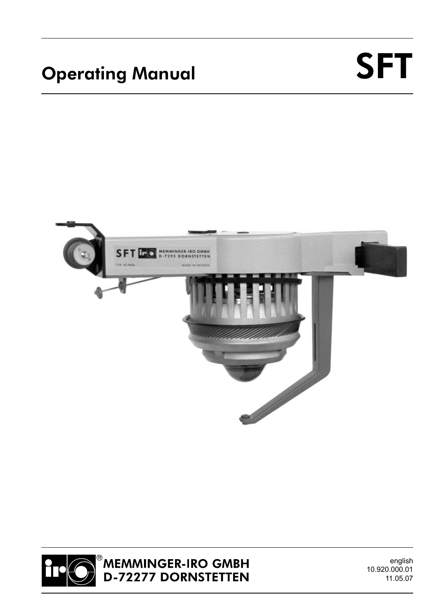# Operating Manual SFT





<sup>®</sup>MEMMINGER-IRO GMBH<br>D-72277 DORNSTETTEN

english 10.920.000.01 11.05.07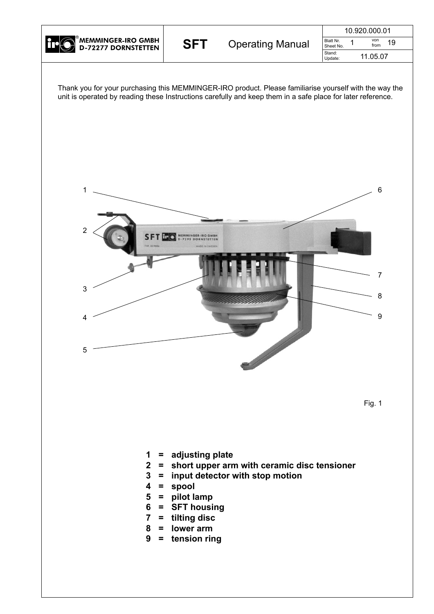

|     |                         | 10.920.000.01                               |
|-----|-------------------------|---------------------------------------------|
| SFT | <b>Operating Manual</b> | Blatt Nr.<br>von<br>19<br>from<br>Sheet No. |
|     |                         | Stand:<br>11.05.07<br>Update:               |

Thank you for your purchasing this MEMMINGER-IRO product. Please familiarise yourself with the way the unit is operated by reading these Instructions carefully and keep them in a safe place for later reference.





- **1 = adjusting plate**
- **2 = short upper arm with ceramic disc tensioner**
- **3 = input detector with stop motion**
- **4 = spool**
- **5 = pilot lamp**
- $=$  **SFT** housing
- **7 = tilting disc**
- **8 = lower arm**
- **9 = tension ring**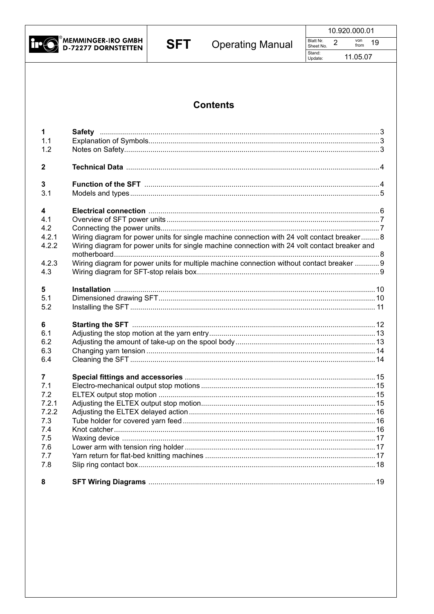

|                        | 10.920.000.01 |  |
|------------------------|---------------|--|
| Blatt Nr.<br>Sheet No. | von<br>from   |  |

11.05.07

Stand:<br>Update:

#### **Contents**

| 1                                                 |                                                                                                                                                                                                                                                                                           |
|---------------------------------------------------|-------------------------------------------------------------------------------------------------------------------------------------------------------------------------------------------------------------------------------------------------------------------------------------------|
| 1.1                                               |                                                                                                                                                                                                                                                                                           |
| 1.2                                               |                                                                                                                                                                                                                                                                                           |
| $\mathbf{2}$                                      |                                                                                                                                                                                                                                                                                           |
| 3                                                 |                                                                                                                                                                                                                                                                                           |
| 3.1                                               |                                                                                                                                                                                                                                                                                           |
| 4<br>4.1<br>4.2<br>4.2.1<br>4.2.2<br>4.2.3<br>4.3 | Wiring diagram for power units for single machine connection with 24 volt contact breaker 8<br>Wiring diagram for power units for single machine connection with 24 volt contact breaker and<br>Wiring diagram for power units for multiple machine connection without contact breaker  9 |
| 5                                                 |                                                                                                                                                                                                                                                                                           |
| 5.1                                               |                                                                                                                                                                                                                                                                                           |
| 5.2                                               |                                                                                                                                                                                                                                                                                           |
| 6                                                 |                                                                                                                                                                                                                                                                                           |
| 6.1                                               |                                                                                                                                                                                                                                                                                           |
| 6.2                                               |                                                                                                                                                                                                                                                                                           |
| 6.3                                               |                                                                                                                                                                                                                                                                                           |
| 6.4                                               |                                                                                                                                                                                                                                                                                           |
| 7                                                 |                                                                                                                                                                                                                                                                                           |
| 7.1                                               |                                                                                                                                                                                                                                                                                           |
| 7.2                                               |                                                                                                                                                                                                                                                                                           |
| 7.2.1                                             |                                                                                                                                                                                                                                                                                           |
| 7.2.2                                             |                                                                                                                                                                                                                                                                                           |
| 7.3                                               |                                                                                                                                                                                                                                                                                           |
| 7.4                                               |                                                                                                                                                                                                                                                                                           |
| 7.5                                               |                                                                                                                                                                                                                                                                                           |
| 7.6                                               |                                                                                                                                                                                                                                                                                           |
| 7.7                                               |                                                                                                                                                                                                                                                                                           |
| 7.8                                               |                                                                                                                                                                                                                                                                                           |
| 8                                                 |                                                                                                                                                                                                                                                                                           |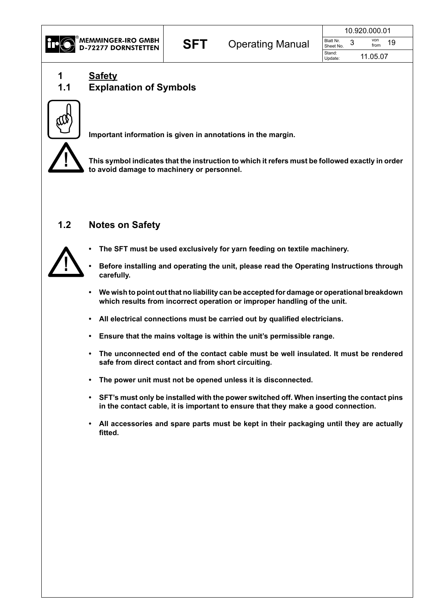

|     |                         |                        | 10.920.000.01     |
|-----|-------------------------|------------------------|-------------------|
| SFT | <b>Operating Manual</b> | Blatt Nr.<br>Sheet No. | von<br>19<br>from |
|     |                         | Stand:<br>Update:      | 11.05.07          |

**1 Safety**

### **1.1 Explanation of Symbols**



**Important information is given in annotations in the margin.**

**!**

**This symbol indicates that the instruction to which it refers must be followed exactly in order to avoid damage to machinery or personnel.**

#### **1.2 Notes on Safety**



- **• The SFT must be used exclusively for yarn feeding on textile machinery.**
- **• Before installing and operating the unit, please read the Operating Instructions through carefully.**
- **• We wish to point out that no liability can be accepted for damage or operational breakdown which results from incorrect operation or improper handling of the unit.**
- **• All electrical connections must be carried out by qualified electricians.**
- **• Ensure that the mains voltage is within the unit's permissible range.**
- **• The unconnected end of the contact cable must be well insulated. It must be rendered safe from direct contact and from short circuiting.**
- **• The power unit must not be opened unless it is disconnected.**
- **• SFT's must only be installed with the power switched off. When inserting the contact pins in the contact cable, it is important to ensure that they make a good connection.**
- **• All accessories and spare parts must be kept in their packaging until they are actually fitted.**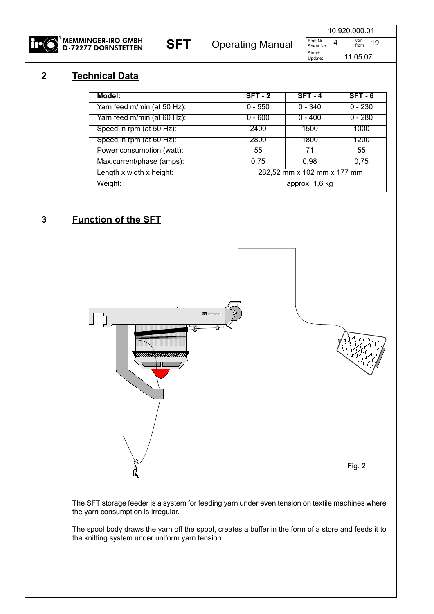

**SFT** Operating Manual Sheet No. 4  $\frac{19}{50}$  And  $\frac{19}{100}$  and  $\frac{19}{100}$ 

10.920.000.01 Blatt Nr.<br>Sheet No. von from

11.05.07

Stand:<br>Update:

#### **2 Technical Data**

| Model:                      | $SFT - 2$                   | $SFT - 4$ | $SFT - 6$ |
|-----------------------------|-----------------------------|-----------|-----------|
| Yarn feed m/min (at 50 Hz): | $0 - 550$                   | $0 - 340$ | $0 - 230$ |
| Yarn feed m/min (at 60 Hz): | $0 - 600$                   | $0 - 400$ | $0 - 280$ |
| Speed in rpm (at 50 Hz):    | 2400                        | 1500      | 1000      |
| Speed in rpm (at 60 Hz):    | 2800                        | 1800      | 1200      |
| Power consumption (watt):   | 55                          | 71        | 55        |
| Max.current/phase (amps):   | 0.75                        | 0.98      | 0.75      |
| Length x width x height:    | 282,52 mm x 102 mm x 177 mm |           |           |
| Weight:                     | approx. 1,6 kg              |           |           |

#### **3 Function of the SFT**



The SFT storage feeder is a system for feeding yarn under even tension on textile machines where the yarn consumption is irregular.

The spool body draws the yarn off the spool, creates a buffer in the form of a store and feeds it to the knitting system under uniform yarn tension.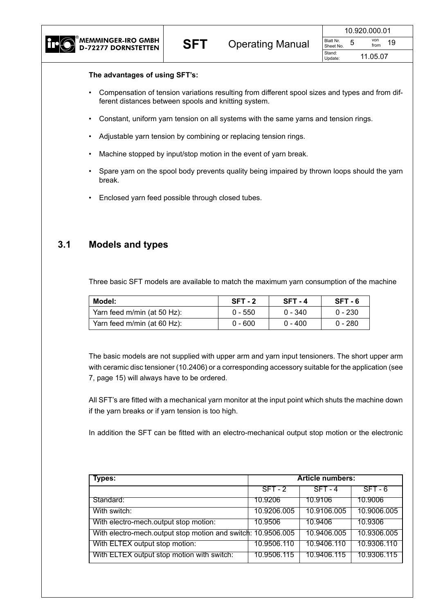|     |                         | 10.920.000.01                               |
|-----|-------------------------|---------------------------------------------|
| SFT | <b>Operating Manual</b> | Blatt Nr.<br>von<br>19<br>from<br>Sheet No. |
|     |                         | Stand:<br>11.05.07<br>Update:               |

#### **The advantages of using SFT's:**

- Compensation of tension variations resulting from different spool sizes and types and from different distances between spools and knitting system.
- Constant, uniform yarn tension on all systems with the same yarns and tension rings.
- Adjustable yarn tension by combining or replacing tension rings.
- Machine stopped by input/stop motion in the event of yarn break.
- Spare yarn on the spool body prevents quality being impaired by thrown loops should the yarn break.
- Enclosed yarn feed possible through closed tubes.

#### **3.1 Models and types**

Three basic SFT models are available to match the maximum yarn consumption of the machine

| Model:                      | $SFT - 2$ | $SFT - 4$ | $SFT - 6$ |
|-----------------------------|-----------|-----------|-----------|
| Yarn feed m/min (at 50 Hz): | $0 - 550$ | $0 - 340$ | $0 - 230$ |
| Yarn feed m/min (at 60 Hz): | Ი - 600   | $0 - 400$ | $0 - 280$ |

The basic models are not supplied with upper arm and yarn input tensioners. The short upper arm with ceramic disc tensioner (10.2406) or a corresponding accessory suitable for the application (see 7, page 15) will always have to be ordered.

All SFT's are fitted with a mechanical yarn monitor at the input point which shuts the machine down if the yarn breaks or if yarn tension is too high.

In addition the SFT can be fitted with an electro-mechanical output stop motion or the electronic

| <b>Types:</b>                                                | <b>Article numbers:</b> |             |             |  |
|--------------------------------------------------------------|-------------------------|-------------|-------------|--|
|                                                              | $SFT - 2$               | $SFT - 4$   | $SFT - 6$   |  |
| Standard:                                                    | 10.9206                 | 10.9106     | 10.9006     |  |
| With switch:                                                 | 10.9206.005             | 10.9106.005 | 10.9006.005 |  |
| With electro-mech.output stop motion:                        | 10.9506                 | 10.9406     | 10.9306     |  |
| With electro-mech.output stop motion and switch: 10.9506.005 |                         | 10.9406.005 | 10.9306.005 |  |
| With ELTEX output stop motion:                               | 10.9506.110             | 10.9406.110 | 10.9306.110 |  |
| With ELTEX output stop motion with switch:                   | 10.9506.115             | 10.9406.115 | 10.9306.115 |  |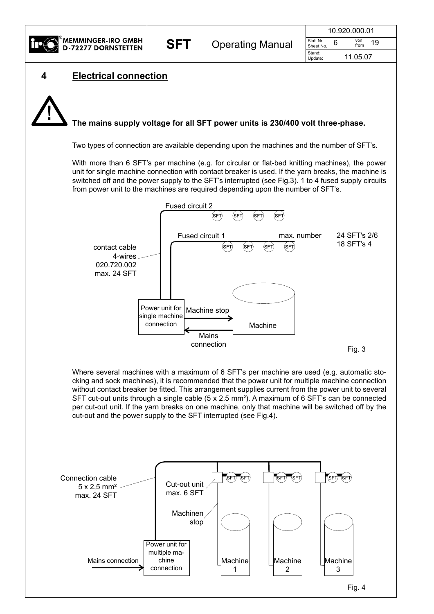

| SFT | <b>Operating Manual</b> |                        | 10.920.000.01 |  |
|-----|-------------------------|------------------------|---------------|--|
|     |                         | Blatt Nr.<br>Sheet No. | von<br>from   |  |
|     |                         | Stand:<br>Update:      | 11.05.07      |  |





#### **The mains supply voltage for all SFT power units is 230/400 volt three-phase. !**

Two types of connection are available depending upon the machines and the number of SFT's.

With more than 6 SFT's per machine (e.g. for circular or flat-bed knitting machines), the power unit for single machine connection with contact breaker is used. If the yarn breaks, the machine is switched off and the power supply to the SFT's interrupted (see Fig.3). 1 to 4 fused supply circuits from power unit to the machines are required depending upon the number of SFT's.



Where several machines with a maximum of 6 SFT's per machine are used (e.g. automatic stocking and sock machines), it is recommended that the power unit for multiple machine connection without contact breaker be fitted. This arrangement supplies current from the power unit to several SFT cut-out units through a single cable (5 x 2.5 mm²). A maximum of 6 SFT's can be connected per cut-out unit. If the yarn breaks on one machine, only that machine will be switched off by the cut-out and the power supply to the SFT interrupted (see Fig.4).

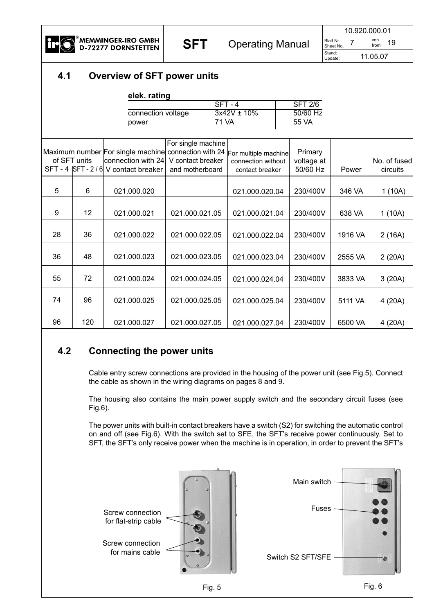

**SFT** Operating Manual Sheet No. 7 From 19 10.920.000.01 Sheet No. von from Stand:<br>Update:

11.05.07

#### **4.1 Overview of SFT power units**

|    |              | elek. rating                                         |                    |              |                      |                |         |              |
|----|--------------|------------------------------------------------------|--------------------|--------------|----------------------|----------------|---------|--------------|
|    |              |                                                      |                    |              | $SFT - 4$            | <b>SFT 2/6</b> |         |              |
|    |              | connection voltage                                   |                    |              | $3x42V \pm 10\%$     | 50/60 Hz       |         |              |
|    |              | power                                                |                    | <b>71 VA</b> |                      | 55 VA          |         |              |
|    |              |                                                      |                    |              |                      |                |         |              |
|    |              |                                                      | For single machine |              |                      |                |         |              |
|    |              | Maximum number For single machine connection with 24 |                    |              | For multiple machine | Primary        |         |              |
|    | of SFT units | connection with 24                                   | V contact breaker  |              | connection without   | voltage at     |         | No. of fused |
|    |              | SFT - 4  SFT - 2 / 6  V contact breaker              | and motherboard    |              | contact breaker      | 50/60 Hz       | Power   | circuits     |
|    |              |                                                      |                    |              |                      |                |         |              |
| 5  | 6            | 021.000.020                                          |                    |              | 021.000.020.04       | 230/400V       | 346 VA  | 1(10A)       |
|    |              |                                                      |                    |              |                      |                |         |              |
| 9  | 12           | 021.000.021                                          | 021.000.021.05     |              | 021.000.021.04       | 230/400V       | 638 VA  | 1(10A)       |
|    |              |                                                      |                    |              |                      |                |         |              |
| 28 | 36           | 021.000.022                                          | 021.000.022.05     |              | 021.000.022.04       | 230/400V       | 1916 VA | 2(16A)       |
|    |              |                                                      |                    |              |                      |                |         |              |
|    |              |                                                      |                    |              |                      |                |         |              |
| 36 | 48           | 021.000.023                                          | 021.000.023.05     |              | 021.000.023.04       | 230/400V       | 2555 VA | 2(20A)       |
|    |              |                                                      |                    |              |                      |                |         |              |
| 55 | 72           | 021.000.024                                          | 021.000.024.05     |              | 021.000.024.04       | 230/400V       | 3833 VA | 3(20A)       |
|    |              |                                                      |                    |              |                      |                |         |              |
| 74 | 96           | 021.000.025                                          | 021.000.025.05     |              | 021.000.025.04       | 230/400V       | 5111 VA | 4 (20A)      |
|    |              |                                                      |                    |              |                      |                |         |              |
| 96 | 120          | 021.000.027                                          | 021.000.027.05     |              | 021.000.027.04       | 230/400V       | 6500 VA | 4 (20A)      |

#### **4.2 Connecting the power units**

Cable entry screw connections are provided in the housing of the power unit (see Fig.5). Connect the cable as shown in the wiring diagrams on pages 8 and 9.

The housing also contains the main power supply switch and the secondary circuit fuses (see Fig.6).

The power units with built-in contact breakers have a switch (S2) for switching the automatic control on and off (see Fig.6). With the switch set to SFE, the SFT's receive power continuously. Set to SFT, the SFT's only receive power when the machine is in operation, in order to prevent the SFT's



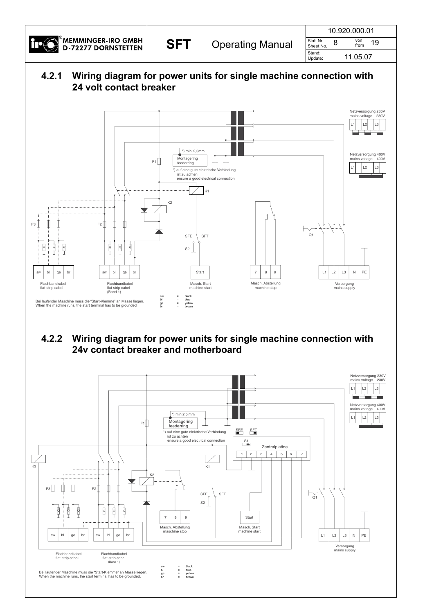

|     | <b>Operating Manual</b> |                        | 10.920.000.01 |    |
|-----|-------------------------|------------------------|---------------|----|
| SFT |                         | Blatt Nr.<br>Sheet No. | von<br>from   | 19 |
|     |                         | Stand:<br>Update:      | 11.05.07      |    |

### **4.2.1 Wiring diagram for power units for single machine connection with 24 volt contact breaker**



#### **4.2.2 Wiring diagram for power units for single machine connection with 24v contact breaker and motherboard**

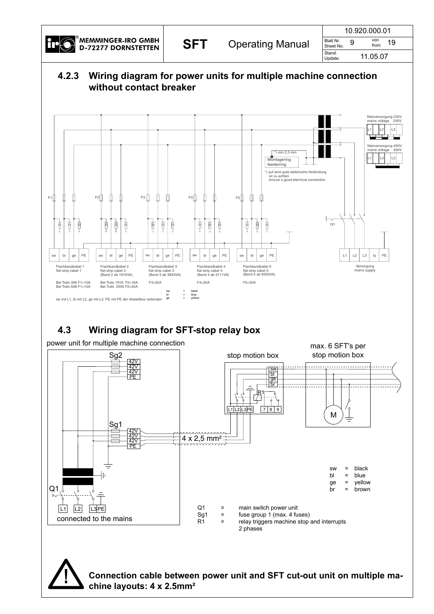

**!**

**SFT** Operating Manual Sheet No. 9 You 19

| 10.920.000.01          |   |             |    |  |  |
|------------------------|---|-------------|----|--|--|
| Blatt Nr.<br>Sheet No. | 9 | von<br>from | 19 |  |  |
| Stand:<br>Update:      |   | 11.05.07    |    |  |  |

#### **4.2.3 Wiring diagram for power units for multiple machine connection without contact breaker**



**Connection cable between power unit and SFT cut-out unit on multiple machine layouts: 4 x 2.5mm²**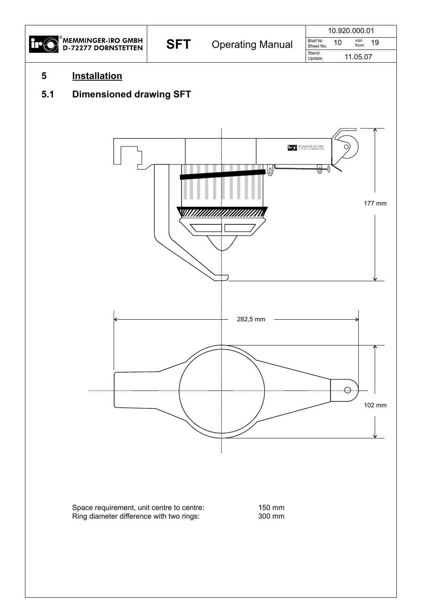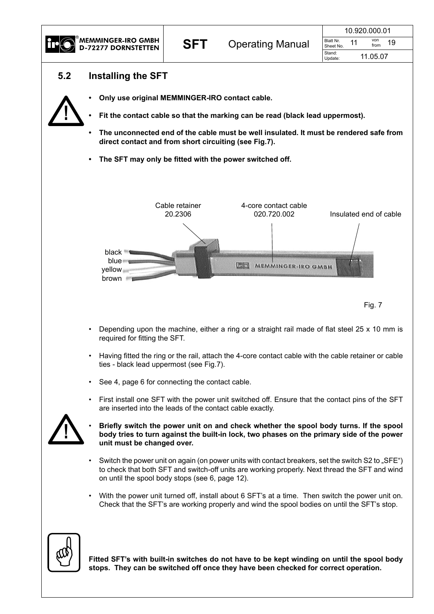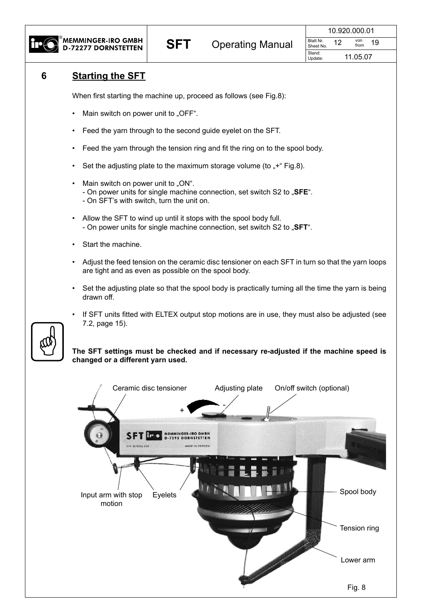

| SFT |                         |                        | 10.920.000.01 |             |  |  |
|-----|-------------------------|------------------------|---------------|-------------|--|--|
|     | <b>Operating Manual</b> | Blatt Nr.<br>Sheet No. |               | von<br>from |  |  |
|     |                         | Stand:<br>Update:      |               | 11.05.07    |  |  |

#### **6 Starting the SFT**

When first starting the machine up, proceed as follows (see Fig.8):

- Main switch on power unit to "OFF".
- Feed the yarn through to the second guide eyelet on the SFT.
- Feed the yarn through the tension ring and fit the ring on to the spool body.
- Set the adjusting plate to the maximum storage volume (to  $+$ " Fig.8).
- Main switch on power unit to "ON". - On power units for single machine connection, set switch S2 to "**SFE**". - On SFT's with switch, turn the unit on.
- Allow the SFT to wind up until it stops with the spool body full. - On power units for single machine connection, set switch S2 to "SFT".
- Start the machine.
- Adjust the feed tension on the ceramic disc tensioner on each SFT in turn so that the yarn loops are tight and as even as possible on the spool body.
- Set the adjusting plate so that the spool body is practically turning all the time the yarn is being drawn off.
- If SFT units fitted with ELTEX output stop motions are in use, they must also be adjusted (see 7.2, page 15).

**The SFT settings must be checked and if necessary re-adjusted if the machine speed is changed or a different yarn used.**

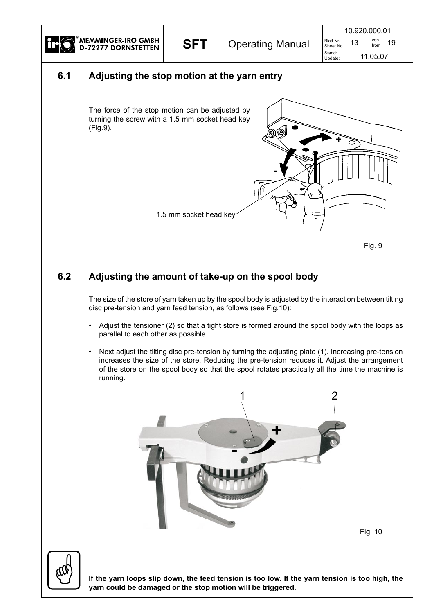

#### **6.1 Adjusting the stop motion at the yarn entry**





#### **6.2 Adjusting the amount of take-up on the spool body**

The size of the store of yarn taken up by the spool body is adjusted by the interaction between tilting disc pre-tension and yarn feed tension, as follows (see Fig.10):

- Adjust the tensioner (2) so that a tight store is formed around the spool body with the loops as parallel to each other as possible.
- Next adjust the tilting disc pre-tension by turning the adjusting plate (1). Increasing pre-tension increases the size of the store. Reducing the pre-tension reduces it. Adjust the arrangement of the store on the spool body so that the spool rotates practically all the time the machine is running.



Fig. 10



If the yarn loops slip down, the feed tension is too low. If the yarn tension is too high, the **yarn could be damaged or the stop motion will be triggered.**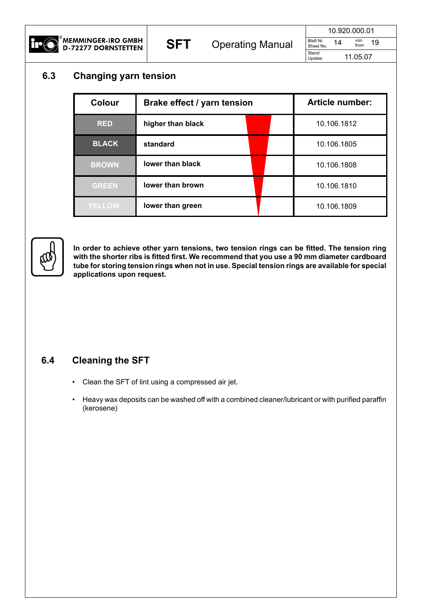

| 10.920.000.01          |    |             |    |  |
|------------------------|----|-------------|----|--|
| Blatt Nr.<br>Sheet No. | 14 | von<br>from | 19 |  |
| Stand:<br>Update:      |    | 11.05.07    |    |  |

#### **6.3 Changing yarn tension**

| <b>Colour</b> | Brake effect / yarn tension |  | <b>Article number:</b> |  |
|---------------|-----------------------------|--|------------------------|--|
| <b>RED</b>    | higher than black           |  | 10.106.1812            |  |
| <b>BLACK</b>  | standard                    |  | 10.106.1805            |  |
| <b>BROWN</b>  | lower than black            |  | 10.106.1808            |  |
| <b>GREEN</b>  | lower than brown            |  | 10.106.1810            |  |
| <b>YELLOW</b> | lower than green            |  | 10.106.1809            |  |



**In order to achieve other yarn tensions, two tension rings can be fitted. The tension ring with the shorter ribs is fitted first. We recommend that you use a 90 mm diameter cardboard tube for storing tension rings when not in use. Special tension rings are available for special applications upon request.**

#### **6.4 Cleaning the SFT**

- Clean the SFT of lint using a compressed air jet.
- Heavy wax deposits can be washed off with a combined cleaner/lubricant or with purified paraffin (kerosene)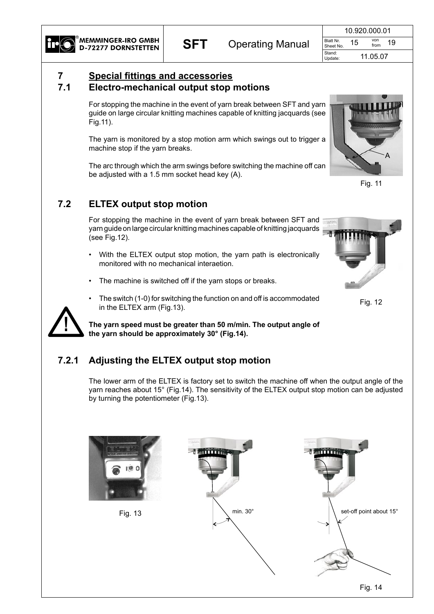

|     |                         |                        | 10.920.000.01 |             |  |  |
|-----|-------------------------|------------------------|---------------|-------------|--|--|
| SFT | <b>Operating Manual</b> | Blatt Nr.<br>Sheet No. | 15            | von<br>from |  |  |
|     |                         | Stand:<br>Update:      | 11.05.07      |             |  |  |

### **7 Special fittings and accessories**

#### **7.1 Electro-mechanical output stop motions**

For stopping the machine in the event of yarn break between SFT and yarn guide on large circular knitting machines capable of knitting jacquards (see Fig.11).

The yarn is monitored by a stop motion arm which swings out to trigger a machine stop if the yarn breaks.

The arc through which the arm swings before switching the machine off can be adjusted with a 1.5 mm socket head key (A).



Fig. 11

### **7.2 ELTEX output stop motion**

For stopping the machine in the event of yarn break between SFT and yarn guide on large circular knitting machines capable of knitting jacquards (see Fig.12).

- With the ELTEX output stop motion, the yarn path is electronically monitored with no mechanical interaetion.
- The machine is switched off if the yarn stops or breaks.
- The switch (1-0) for switching the function on and off is accommodated in the ELTEX arm (Fig.13).

**The yarn speed must be greater than 50 m/min. The output angle of the yarn should be approximately 30° (Fig.14).**

### **7.2.1 Adjusting the ELTEX output stop motion**

The lower arm of the ELTEX is factory set to switch the machine off when the output angle of the yarn reaches about 15° (Fig.14). The sensitivity of the ELTEX output stop motion can be adjusted by turning the potentiometer (Fig.13).







Fig. 12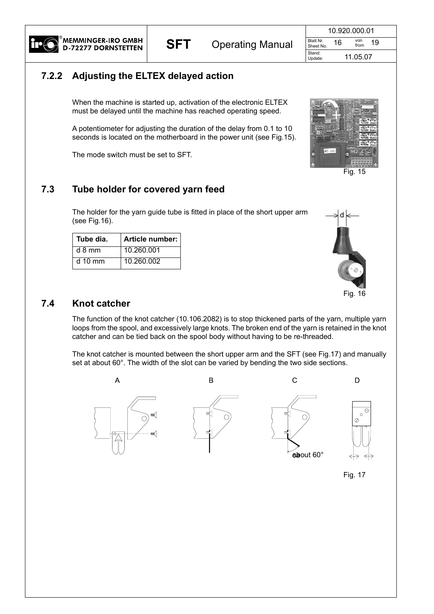| 10.920.000.01          |    |             |    |  |
|------------------------|----|-------------|----|--|
| Blatt Nr.<br>Sheet No. | 16 | von<br>from | 19 |  |
| Stand:<br>Update:      |    | 11.05.07    |    |  |

#### **7.2.2 Adjusting the ELTEX delayed action**

When the machine is started up, activation of the electronic ELTEX must be delayed until the machine has reached operating speed.

A potentiometer for adjusting the duration of the delay from 0.1 to 10 seconds is located on the motherboard in the power unit (see Fig.15).

The mode switch must be set to SFT.

### **7.3 Tube holder for covered yarn feed**

The holder for the yarn guide tube is fitted in place of the short upper arm (see Fig.16).

| Tube dia. | Article number: |
|-----------|-----------------|
| $d$ 8 mm  | 10.260.001      |
| $d$ 10 mm | 10.260.002      |



Fig. 15



Fig. 16

#### **7.4 Knot catcher**

The function of the knot catcher (10.106.2082) is to stop thickened parts of the yarn, multiple yarn loops from the spool, and excessively large knots. The broken end of the yarn is retained in the knot catcher and can be tied back on the spool body without having to be re-threaded.

The knot catcher is mounted between the short upper arm and the SFT (see Fig.17) and manually set at about 60°. The width of the slot can be varied by bending the two side sections.



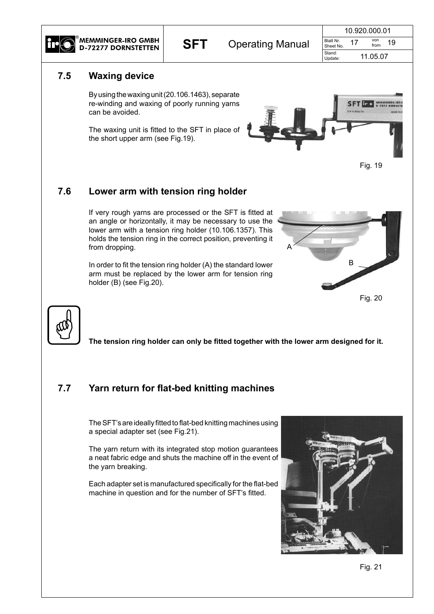

|     |                         |                        | 10.920.000.01 |             |  |  |
|-----|-------------------------|------------------------|---------------|-------------|--|--|
| SFT | <b>Operating Manual</b> | Blatt Nr.<br>Sheet No. |               | von<br>from |  |  |
|     |                         | Stand:<br>Update:      | 11.05.07      |             |  |  |

#### **7.5 Waxing device**

By using the waxing unit (20.106.1463), separate re-winding and waxing of poorly running yarns can be avoided.

The waxing unit is fitted to the SFT in place of the short upper arm (see Fig.19).





#### **7.6 Lower arm with tension ring holder**

If very rough yarns are processed or the SFT is fitted at an angle or horizontally, it may be necessary to use the lower arm with a tension ring holder (10.106.1357). This holds the tension ring in the correct position, preventing it from dropping.

In order to fit the tension ring holder (A) the standard lower arm must be replaced by the lower arm for tension ring holder (B) (see Fig.20).





**The tension ring holder can only be fitted together with the lower arm designed for it.**

#### **7.7 Yarn return for flat-bed knitting machines**

The SFT's are ideally fitted to flat-bed knitting machines using a special adapter set (see Fig.21).

The yarn return with its integrated stop motion guarantees a neat fabric edge and shuts the machine off in the event of the yarn breaking.

Each adapter set is manufactured specifically for the flat-bed machine in question and for the number of SFT's fitted.

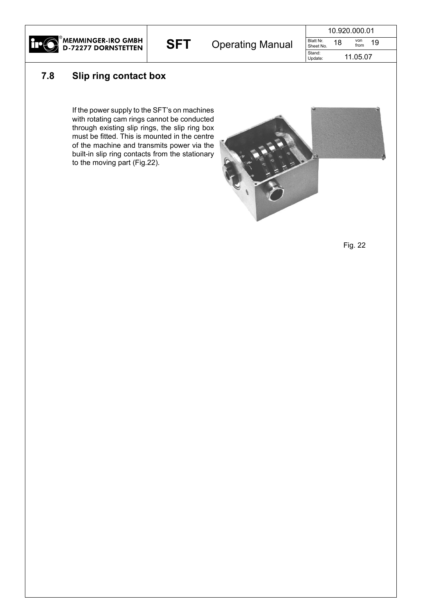

## **SFT** Operating Manual Sheet No. 18 You 19

| 10.920.000.01          |    |             |    |  |
|------------------------|----|-------------|----|--|
| Blatt Nr.<br>Sheet No. | 18 | von<br>from | 19 |  |
| Stand:<br>Update:      |    | 11.05.07    |    |  |

#### **7.8 Slip ring contact box**

If the power supply to the SFT's on machines with rotating cam rings cannot be conducted through existing slip rings, the slip ring box must be fitted. This is mounted in the centre of the machine and transmits power via the built-in slip ring contacts from the stationary to the moving part (Fig.22).



Fig. 22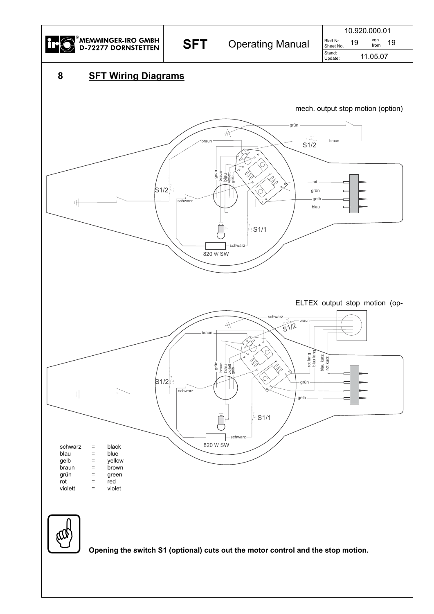